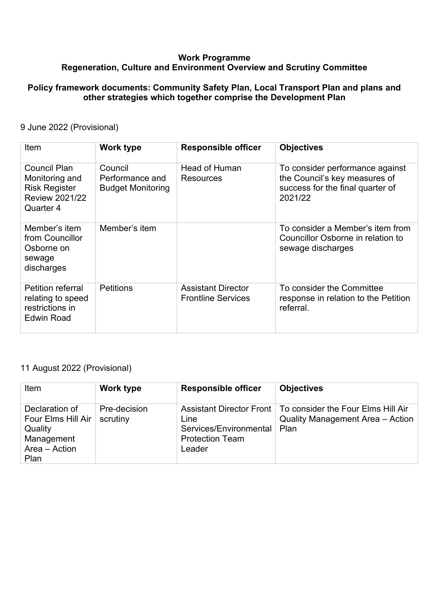## **Work Programme Regeneration, Culture and Environment Overview and Scrutiny Committee**

#### **Policy framework documents: Community Safety Plan, Local Transport Plan and plans and other strategies which together comprise the Development Plan**

## 9 June 2022 (Provisional)

| Item                                                                                         | Work type                                              | <b>Responsible officer</b>                             | <b>Objectives</b>                                                                                               |
|----------------------------------------------------------------------------------------------|--------------------------------------------------------|--------------------------------------------------------|-----------------------------------------------------------------------------------------------------------------|
| Council Plan<br>Monitoring and<br><b>Risk Register</b><br><b>Review 2021/22</b><br>Quarter 4 | Council<br>Performance and<br><b>Budget Monitoring</b> | <b>Head of Human</b><br>Resources                      | To consider performance against<br>the Council's key measures of<br>success for the final quarter of<br>2021/22 |
| Member's item<br>from Councillor<br>Osborne on<br>sewage<br>discharges                       | Member's item                                          |                                                        | To consider a Member's item from<br>Councillor Osborne in relation to<br>sewage discharges                      |
| Petition referral<br>relating to speed<br>restrictions in<br><b>Edwin Road</b>               | <b>Petitions</b>                                       | <b>Assistant Director</b><br><b>Frontline Services</b> | To consider the Committee<br>response in relation to the Petition<br>referral.                                  |

## 11 August 2022 (Provisional)

| Item                                                                                   | Work type                | <b>Responsible officer</b>                                         | <b>Objectives</b>                                                                                         |
|----------------------------------------------------------------------------------------|--------------------------|--------------------------------------------------------------------|-----------------------------------------------------------------------------------------------------------|
| Declaration of<br>Four Elms Hill Air<br>Quality<br>Management<br>Area - Action<br>Plan | Pre-decision<br>scrutiny | Line<br>Services/Environmental<br><b>Protection Team</b><br>Leader | Assistant Director Front   To consider the Four Elms Hill Air<br>Quality Management Area - Action<br>Plan |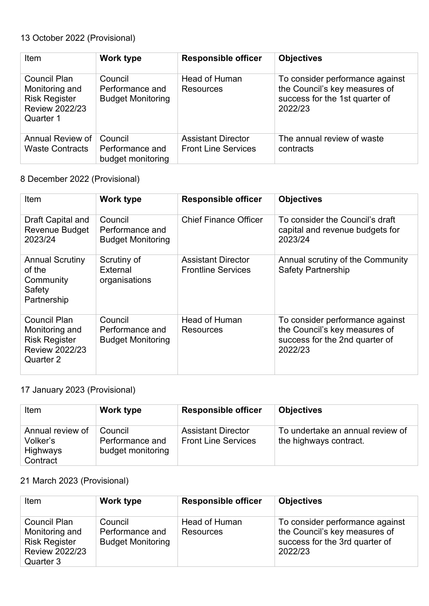# 13 October 2022 (Provisional)

| Item                                                                                                | <b>Work type</b>                                       | <b>Responsible officer</b>               | <b>Objectives</b>                                                                                             |
|-----------------------------------------------------------------------------------------------------|--------------------------------------------------------|------------------------------------------|---------------------------------------------------------------------------------------------------------------|
| <b>Council Plan</b><br>Monitoring and<br><b>Risk Register</b><br><b>Review 2022/23</b><br>Quarter 1 | Council<br>Performance and<br><b>Budget Monitoring</b> | <b>Head of Human</b><br><b>Resources</b> | To consider performance against<br>the Council's key measures of<br>success for the 1st quarter of<br>2022/23 |
| Annual Review of                                                                                    | Council                                                | <b>Assistant Director</b>                | The annual review of waste                                                                                    |
| <b>Waste Contracts</b>                                                                              | Performance and<br>budget monitoring                   | <b>Front Line Services</b>               | contracts                                                                                                     |

8 December 2022 (Provisional)

| Item                                                                                         | Work type                                              | <b>Responsible officer</b>                             | <b>Objectives</b>                                                                                             |
|----------------------------------------------------------------------------------------------|--------------------------------------------------------|--------------------------------------------------------|---------------------------------------------------------------------------------------------------------------|
| Draft Capital and<br>Revenue Budget<br>2023/24                                               | Council<br>Performance and<br><b>Budget Monitoring</b> | <b>Chief Finance Officer</b>                           | To consider the Council's draft<br>capital and revenue budgets for<br>2023/24                                 |
| <b>Annual Scrutiny</b><br>of the<br>Community<br>Safety<br>Partnership                       | Scrutiny of<br>External<br>organisations               | <b>Assistant Director</b><br><b>Frontline Services</b> | Annual scrutiny of the Community<br><b>Safety Partnership</b>                                                 |
| Council Plan<br>Monitoring and<br><b>Risk Register</b><br><b>Review 2022/23</b><br>Quarter 2 | Council<br>Performance and<br><b>Budget Monitoring</b> | <b>Head of Human</b><br>Resources                      | To consider performance against<br>the Council's key measures of<br>success for the 2nd quarter of<br>2022/23 |

## 17 January 2023 (Provisional)

| Item                                                 | Work type                                       | <b>Responsible officer</b>                              | <b>Objectives</b>                                          |
|------------------------------------------------------|-------------------------------------------------|---------------------------------------------------------|------------------------------------------------------------|
| Annual review of<br>Volker's<br>Highways<br>Contract | Council<br>Performance and<br>budget monitoring | <b>Assistant Director</b><br><b>Front Line Services</b> | To undertake an annual review of<br>the highways contract. |

21 March 2023 (Provisional)

| Item                                                                                                | Work type                                              | <b>Responsible officer</b>        | <b>Objectives</b>                                                                                             |
|-----------------------------------------------------------------------------------------------------|--------------------------------------------------------|-----------------------------------|---------------------------------------------------------------------------------------------------------------|
| <b>Council Plan</b><br>Monitoring and<br><b>Risk Register</b><br><b>Review 2022/23</b><br>Quarter 3 | Council<br>Performance and<br><b>Budget Monitoring</b> | Head of Human<br><b>Resources</b> | To consider performance against<br>the Council's key measures of<br>success for the 3rd quarter of<br>2022/23 |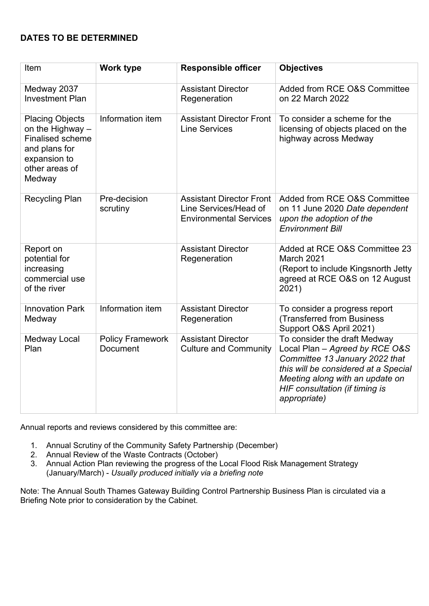## **DATES TO BE DETERMINED**

| Item                                                                                                                               | Work type                                  | <b>Responsible officer</b>                                                                | <b>Objectives</b>                                                                                                                                                                                                             |
|------------------------------------------------------------------------------------------------------------------------------------|--------------------------------------------|-------------------------------------------------------------------------------------------|-------------------------------------------------------------------------------------------------------------------------------------------------------------------------------------------------------------------------------|
| Medway 2037<br><b>Investment Plan</b>                                                                                              |                                            | <b>Assistant Director</b><br>Regeneration                                                 | Added from RCE O&S Committee<br>on 22 March 2022                                                                                                                                                                              |
| <b>Placing Objects</b><br>on the Highway -<br><b>Finalised scheme</b><br>and plans for<br>expansion to<br>other areas of<br>Medway | Information item                           | <b>Assistant Director Front</b><br><b>Line Services</b>                                   | To consider a scheme for the<br>licensing of objects placed on the<br>highway across Medway                                                                                                                                   |
| <b>Recycling Plan</b>                                                                                                              | Pre-decision<br>scrutiny                   | <b>Assistant Director Front</b><br>Line Services/Head of<br><b>Environmental Services</b> | Added from RCE O&S Committee<br>on 11 June 2020 Date dependent<br>upon the adoption of the<br><b>Environment Bill</b>                                                                                                         |
| Report on<br>potential for<br>increasing<br>commercial use<br>of the river                                                         |                                            | <b>Assistant Director</b><br>Regeneration                                                 | Added at RCE O&S Committee 23<br>March 2021<br>(Report to include Kingsnorth Jetty)<br>agreed at RCE O&S on 12 August<br>2021)                                                                                                |
| <b>Innovation Park</b><br>Medway                                                                                                   | Information item                           | <b>Assistant Director</b><br>Regeneration                                                 | To consider a progress report<br>(Transferred from Business<br>Support O&S April 2021)                                                                                                                                        |
| <b>Medway Local</b><br>Plan                                                                                                        | <b>Policy Framework</b><br><b>Document</b> | <b>Assistant Director</b><br><b>Culture and Community</b>                                 | To consider the draft Medway<br>Local Plan - Agreed by RCE O&S<br>Committee 13 January 2022 that<br>this will be considered at a Special<br>Meeting along with an update on<br>HIF consultation (if timing is<br>appropriate) |

Annual reports and reviews considered by this committee are:

- 1. Annual Scrutiny of the Community Safety Partnership (December)
- 2. Annual Review of the Waste Contracts (October)
- 3. Annual Action Plan reviewing the progress of the Local Flood Risk Management Strategy (January/March) - *Usually produced initially via a briefing note*

Note: The Annual South Thames Gateway Building Control Partnership Business Plan is circulated via a Briefing Note prior to consideration by the Cabinet.